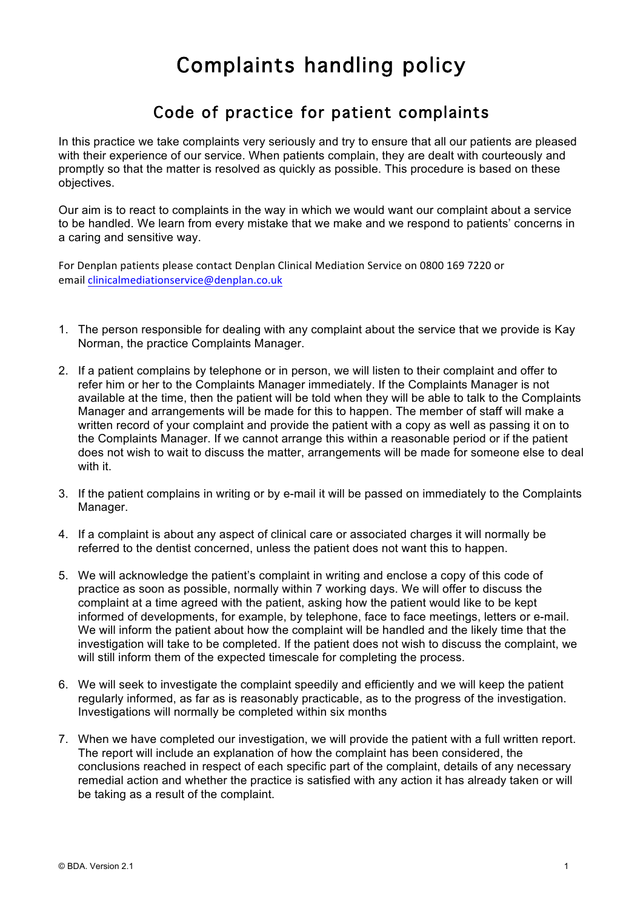## Complaints handling policy

## Code of practice for patient complaints

In this practice we take complaints very seriously and try to ensure that all our patients are pleased with their experience of our service. When patients complain, they are dealt with courteously and promptly so that the matter is resolved as quickly as possible. This procedure is based on these objectives.

Our aim is to react to complaints in the way in which we would want our complaint about a service to be handled. We learn from every mistake that we make and we respond to patients' concerns in a caring and sensitive way.

For Denplan patients please contact Denplan Clinical Mediation Service on 0800 169 7220 or email clinicalmediationservice@denplan.co.uk

- 1. The person responsible for dealing with any complaint about the service that we provide is Kay Norman, the practice Complaints Manager.
- 2. If a patient complains by telephone or in person, we will listen to their complaint and offer to refer him or her to the Complaints Manager immediately. If the Complaints Manager is not available at the time, then the patient will be told when they will be able to talk to the Complaints Manager and arrangements will be made for this to happen. The member of staff will make a written record of your complaint and provide the patient with a copy as well as passing it on to the Complaints Manager. If we cannot arrange this within a reasonable period or if the patient does not wish to wait to discuss the matter, arrangements will be made for someone else to deal with it.
- 3. If the patient complains in writing or by e-mail it will be passed on immediately to the Complaints Manager.
- 4. If a complaint is about any aspect of clinical care or associated charges it will normally be referred to the dentist concerned, unless the patient does not want this to happen.
- 5. We will acknowledge the patient's complaint in writing and enclose a copy of this code of practice as soon as possible, normally within 7 working days. We will offer to discuss the complaint at a time agreed with the patient, asking how the patient would like to be kept informed of developments, for example, by telephone, face to face meetings, letters or e-mail. We will inform the patient about how the complaint will be handled and the likely time that the investigation will take to be completed. If the patient does not wish to discuss the complaint, we will still inform them of the expected timescale for completing the process.
- 6. We will seek to investigate the complaint speedily and efficiently and we will keep the patient regularly informed, as far as is reasonably practicable, as to the progress of the investigation. Investigations will normally be completed within six months
- 7. When we have completed our investigation, we will provide the patient with a full written report. The report will include an explanation of how the complaint has been considered, the conclusions reached in respect of each specific part of the complaint, details of any necessary remedial action and whether the practice is satisfied with any action it has already taken or will be taking as a result of the complaint.